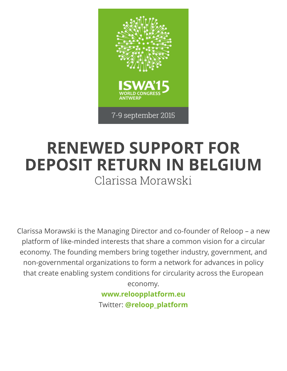

## **RENEWED SUPPORT FOR DEPOSIT RETURN IN BELGIUM** Clarissa Morawski

Clarissa Morawski is the Managing Director and co-founder of Reloop – a new platform of like-minded interests that share a common vision for a circular economy. The founding members bring together industry, government, and non-governmental organizations to form a network for advances in policy that create enabling system conditions for circularity across the European economy.

**[www.reloopplatform.eu](http://iswa2015.org/www.reloopplatform.eu)** Twitter: **[@reloop\\_platform](https://twitter.com/reloop_platform)**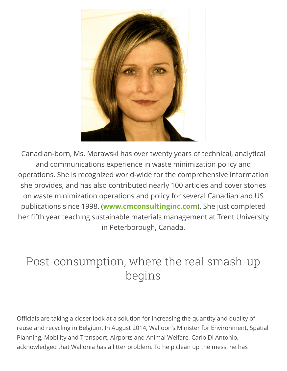

Canadian-born, Ms. Morawski has over twenty years of technical, analytical and communications experience in waste minimization policy and operations. She is recognized world-wide for the comprehensive information she provides, and has also contributed nearly 100 articles and cover stories on waste minimization operations and policy for several Canadian and US publications since 1998. (**[www.cmconsultinginc.com](http://iswa2015.org/www.cmconsultinginc.com)**). She just completed her fifth year teaching sustainable materials management at Trent University in Peterborough, Canada.

## Post-consumption, where the real smash-up begins

Officials are taking a closer look at a solution for increasing the quantity and quality of reuse and recycling in Belgium. In August 2014, Walloon's Minister for Environment, Spatial Planning, Mobility and Transport, Airports and Animal Welfare, Carlo Di Antonio, acknowledged that Wallonia has a litter problem. To help clean up the mess, he has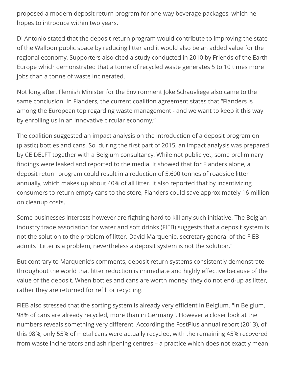proposed a modern deposit return program for one-way beverage packages, which he hopes to introduce within two years.

Di Antonio stated that the deposit return program would contribute to improving the state of the Walloon public space by reducing litter and it would also be an added value for the regional economy. Supporters also cited a study conducted in 2010 by Friends of the Earth Europe which demonstrated that a tonne of recycled waste generates 5 to 10 times more jobs than a tonne of waste incinerated.

Not long after, Flemish Minister for the Environment Joke Schauvliege also came to the same conclusion. In Flanders, the current coalition agreement states that "Flanders is among the European top regarding waste management - and we want to keep it this way by enrolling us in an innovative circular economy."

The coalition suggested an impact analysis on the introduction of a deposit program on (plastic) bottles and cans. So, during the first part of 2015, an impact analysis was prepared by CE DELFT together with a Belgium consultancy. While not public yet, some preliminary findings were leaked and reported to the media. It showed that for Flanders alone, a deposit return program could result in a reduction of 5,600 tonnes of roadside litter annually, which makes up about 40% of all litter. It also reported that by incentivizing consumers to return empty cans to the store, Flanders could save approximately 16 million on cleanup costs.

Some businesses interests however are fighting hard to kill any such initiative. The Belgian industry trade association for water and soft drinks (FIEB) suggests that a deposit system is not the solution to the problem of litter. David Marquenie, secretary general of the FIEB admits "Litter is a problem, nevertheless a deposit system is not the solution."

But contrary to Marquenie's comments, deposit return systems consistently demonstrate throughout the world that litter reduction is immediate and highly effective because of the value of the deposit. When bottles and cans are worth money, they do not end-up as litter, rather they are returned for refill or recycling.

FIEB also stressed that the sorting system is already very efficient in Belgium. "In Belgium, 98% of cans are already recycled, more than in Germany". However a closer look at the numbers reveals something very different. According the FostPlus annual report (2013), of this 98%, only 55% of metal cans were actually recycled, with the remaining 45% recovered from waste incinerators and ash ripening centres – a practice which does not exactly mean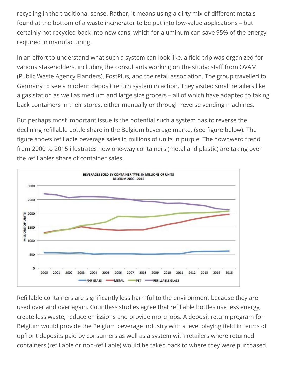recycling in the traditional sense. Rather, it means using a dirty mix of different metals found at the bottom of a waste incinerator to be put into low-value applications – but certainly not recycled back into new cans, which for aluminum can save 95% of the energy required in manufacturing.

In an effort to understand what such a system can look like, a field trip was organized for various stakeholders, including the consultants working on the study; staff from OVAM (Public Waste Agency Flanders), FostPlus, and the retail association. The group travelled to Germany to see a modern deposit return system in action. They visited small retailers like a gas station as well as medium and large size grocers – all of which have adapted to taking back containers in their stores, either manually or through reverse vending machines.

But perhaps most important issue is the potential such a system has to reverse the declining refillable bottle share in the Belgium beverage market (see figure below). The figure shows refillable beverage sales in millions of units in purple. The downward trend from 2000 to 2015 illustrates how one-way containers (metal and plastic) are taking over the refillables share of container sales.



Refillable containers are significantly less harmful to the environment because they are used over and over again. Countless studies agree that refillable bottles use less energy, create less waste, reduce emissions and provide more jobs. A deposit return program for Belgium would provide the Belgium beverage industry with a level playing field in terms of upfront deposits paid by consumers as well as a system with retailers where returned containers (refillable or non-refillable) would be taken back to where they were purchased.